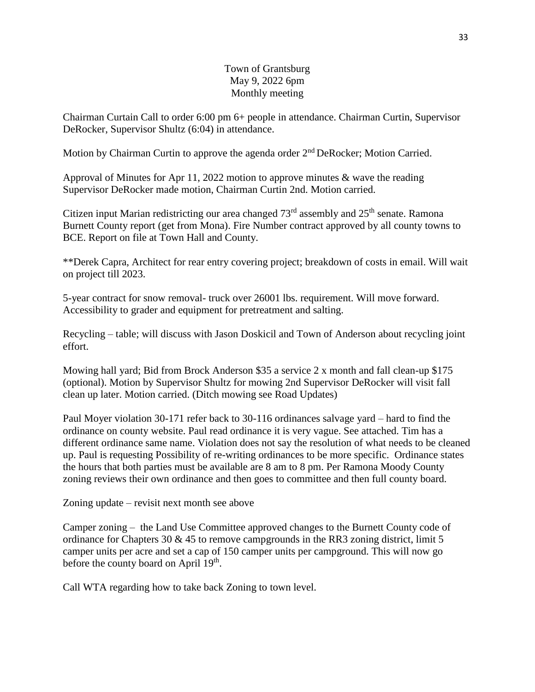## Town of Grantsburg May 9, 2022 6pm Monthly meeting

Chairman Curtain Call to order 6:00 pm 6+ people in attendance. Chairman Curtin, Supervisor DeRocker, Supervisor Shultz (6:04) in attendance.

Motion by Chairman Curtin to approve the agenda order 2<sup>nd</sup> DeRocker; Motion Carried.

Approval of Minutes for Apr 11, 2022 motion to approve minutes & wave the reading Supervisor DeRocker made motion, Chairman Curtin 2nd. Motion carried.

Citizen input Marian redistricting our area changed  $73<sup>rd</sup>$  assembly and  $25<sup>th</sup>$  senate. Ramona Burnett County report (get from Mona). Fire Number contract approved by all county towns to BCE. Report on file at Town Hall and County.

\*\*Derek Capra, Architect for rear entry covering project; breakdown of costs in email. Will wait on project till 2023.

5-year contract for snow removal- truck over 26001 lbs. requirement. Will move forward. Accessibility to grader and equipment for pretreatment and salting.

Recycling – table; will discuss with Jason Doskicil and Town of Anderson about recycling joint effort.

Mowing hall yard; Bid from Brock Anderson \$35 a service 2 x month and fall clean-up \$175 (optional). Motion by Supervisor Shultz for mowing 2nd Supervisor DeRocker will visit fall clean up later. Motion carried. (Ditch mowing see Road Updates)

Paul Moyer violation 30-171 refer back to 30-116 ordinances salvage yard – hard to find the ordinance on county website. Paul read ordinance it is very vague. See attached. Tim has a different ordinance same name. Violation does not say the resolution of what needs to be cleaned up. Paul is requesting Possibility of re-writing ordinances to be more specific. Ordinance states the hours that both parties must be available are 8 am to 8 pm. Per Ramona Moody County zoning reviews their own ordinance and then goes to committee and then full county board.

Zoning update – revisit next month see above

Camper zoning – the Land Use Committee approved changes to the Burnett County code of ordinance for Chapters 30 & 45 to remove campgrounds in the RR3 zoning district, limit 5 camper units per acre and set a cap of 150 camper units per campground. This will now go before the county board on April 19<sup>th</sup>.

Call WTA regarding how to take back Zoning to town level.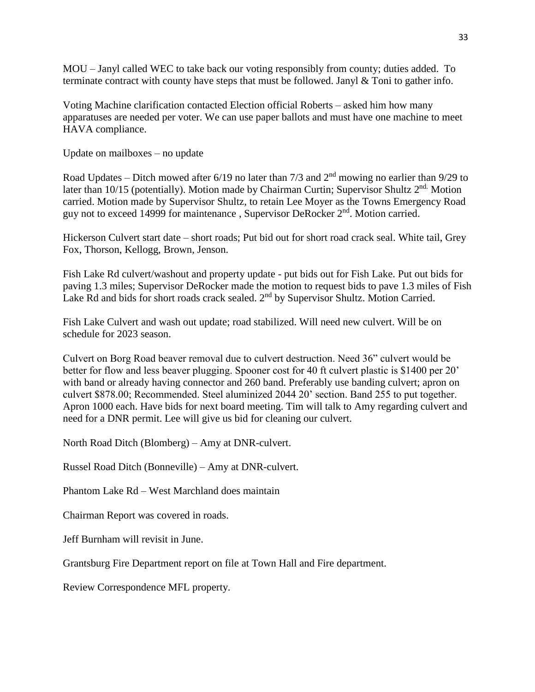MOU – Janyl called WEC to take back our voting responsibly from county; duties added. To terminate contract with county have steps that must be followed. Janyl & Toni to gather info.

Voting Machine clarification contacted Election official Roberts – asked him how many apparatuses are needed per voter. We can use paper ballots and must have one machine to meet HAVA compliance.

Update on mailboxes – no update

Road Updates – Ditch mowed after  $6/19$  no later than  $7/3$  and  $2<sup>nd</sup>$  mowing no earlier than  $9/29$  to later than 10/15 (potentially). Motion made by Chairman Curtin; Supervisor Shultz 2<sup>nd.</sup> Motion carried. Motion made by Supervisor Shultz, to retain Lee Moyer as the Towns Emergency Road guy not to exceed 14999 for maintenance , Supervisor DeRocker 2nd. Motion carried.

Hickerson Culvert start date – short roads; Put bid out for short road crack seal. White tail, Grey Fox, Thorson, Kellogg, Brown, Jenson.

Fish Lake Rd culvert/washout and property update - put bids out for Fish Lake. Put out bids for paving 1.3 miles; Supervisor DeRocker made the motion to request bids to pave 1.3 miles of Fish Lake Rd and bids for short roads crack sealed. 2<sup>nd</sup> by Supervisor Shultz. Motion Carried.

Fish Lake Culvert and wash out update; road stabilized. Will need new culvert. Will be on schedule for 2023 season.

Culvert on Borg Road beaver removal due to culvert destruction. Need 36" culvert would be better for flow and less beaver plugging. Spooner cost for 40 ft culvert plastic is \$1400 per 20' with band or already having connector and 260 band. Preferably use banding culvert; apron on culvert \$878.00; Recommended. Steel aluminized 2044 20' section. Band 255 to put together. Apron 1000 each. Have bids for next board meeting. Tim will talk to Amy regarding culvert and need for a DNR permit. Lee will give us bid for cleaning our culvert.

North Road Ditch (Blomberg) – Amy at DNR-culvert.

Russel Road Ditch (Bonneville) – Amy at DNR-culvert.

Phantom Lake Rd – West Marchland does maintain

Chairman Report was covered in roads.

Jeff Burnham will revisit in June.

Grantsburg Fire Department report on file at Town Hall and Fire department.

Review Correspondence MFL property.